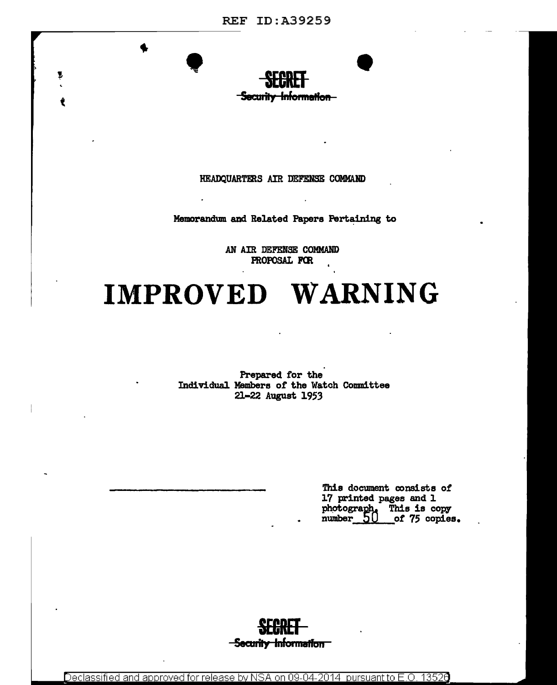

HEADQUARTERS AIR DEFENSE COMMAND

Memorandum and Related Papers Pertaining to

AN AIR DEFENSE COMMAND PROPOSAL FOR

# IMPROVED WARNING

Prepared for the Individual Members of the Watch Committee 21-22 August 1953

> This document consists of 17 printed pages and 1 photograph. This is copy<br>number\_50 \_\_of 75 copies of 75 copies.



Declassified and approved for release by NSA on 09-04-2014 pursuant to E.O. 13526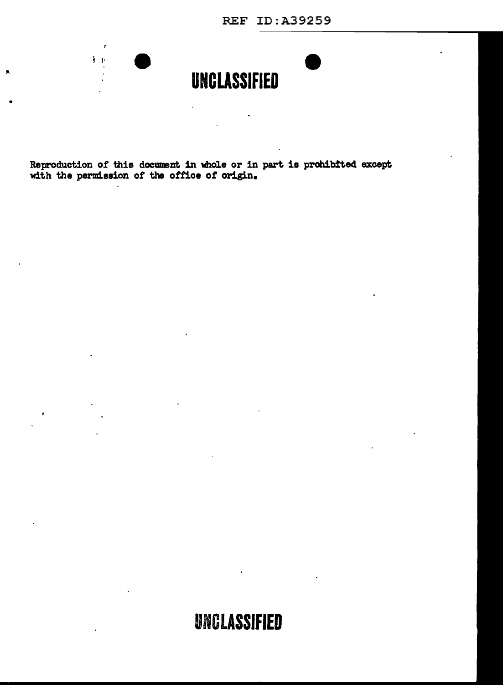REF ID:A39259



 $\ddot{\phantom{a}}$ 

Reproduction of this document in whole or in part is prohibited except with the permission of the office of origin.

 $\sim 10$ 

 $\overline{a}$ 

•

 $\blacksquare$ 

 $\mathbf{r}$  $\frac{1}{2}$  .  $\frac{1}{2}$ 

## **UNCLASSifiED**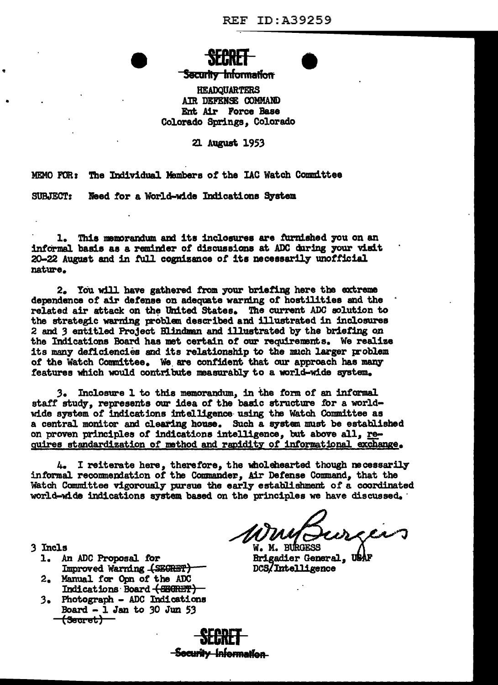## **Security Information**

**HEADQUARTERS** AIR DEFENSE COMMAND Ent Air Force Base Colorado Springs. Colorado

21 August 1953

MEMO FOR: The Individual Members of the IAC Watch Committee

SUBJECT: Need for a World-wide Indications System

1. This memorandum and its inclosures are furnished you on an informal basis as a reminder of discussions at ADC during your visit 20-22 August and in full cognizance of its necessarily unofficial nature.

2. You will have gathered from your briefing here the extreme dependence of air defense on adequate warning of hostilities and the related air attack on the United States. The current ADC solution to the strategic warning problem described and illustrated in inclosures 2 and 3 entitled Project Blindman and illustrated by the briefing on the Indications Board has met certain of our requirements. We realize its many deficiencies and its relationship to the much larger problem of the Watch Committee. We are confident that our approach has many features which would contribute measurably to a world-wide system.

3. Inclosure 1 to this memorandum, in the form of an informal staff study, represents our idea of the basic structure for a worldwide system of indications intelligence using the Watch Committee as a central monitor and clearing house. Such a system must be established on proven principles of indications intelligence, but above all, requires standardization of method and rapidity of informational exchange.

4. I reiterate here, therefore, the wholehearted though necessarily informal recommendation of the Commander, Air Defense Command, that the Watch Committee vigorously pursue the early establishment of a coordinated world-wide indications system based on the principles we have discussed.

W. M. BURGESS **Brigadier General, USA** DCS/Intelligence

- 3 Incls
	- 1. An ADC Proposal for Improved Warning (SECRET)
	- 2. Manual for Opn of the ADC Indications Board (SEGRET)
	- 3. Photograph ADC Indications Board  $-1$  Jan to 30 Jun 53 <del>(Secret)</del>

<del>-Security Informat</del>ion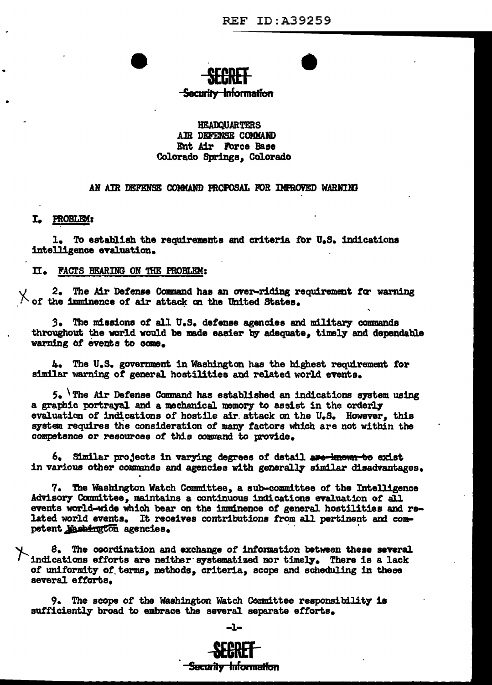# <del>-Security Information</del>

## **HEADOUARTERS** AIR DEFENSE COMMAND Ent Air Force Base Colorado Springs. Colorado

### AN AIR DEFENSE COMMAND PROPOSAL FOR IMPROVED WARNING

## I. PROBLEM:

1. To establish the requirements and criteria for U.S. indications intelligence evaluation.

### II. FACTS BEARING ON THE PROBLEM:

2. The Air Defense Command has an over-riding requirement for warning X of the imminence of air attack on the United States.

3. The missions of all U.S. defense agencies and military commands throughout the world would be made easier by adequate. timely and dependable warning of events to come.

4. The U.S. government in Washington has the highest requirement for similar warning of general hostilities and related world events.

 $5.$  The Air Defense Command has established an indications system using a graphic portrayal and a mechanical memory to assist in the orderly evaluation of indications of hostile air attack on the U.S. However, this system requires the consideration of many factors which are not within the competence or resources of this command to provide.

6. Similar projects in varying degrees of detail are known to exist in various other commands and agencies with generally similar disadvantages.

7. The Washington Watch Committee, a sub-committee of the Intelligence Advisory Committee, maintains a continuous indications evaluation of all events world-wide which bear on the imminence of general hostilities and related world events. It receives contributions from all pertinent and competent Mashington agencies.

8. The coordination and exchange of information between these several indications efforts are neither systematized nor timely. There is a lack of uniformity of terms, methods, criteria, scope and scheduling in these several efforts.

9. The scope of the Washington Watch Committee responsibility is sufficiently broad to embrace the several separate efforts.



Security Information

-1-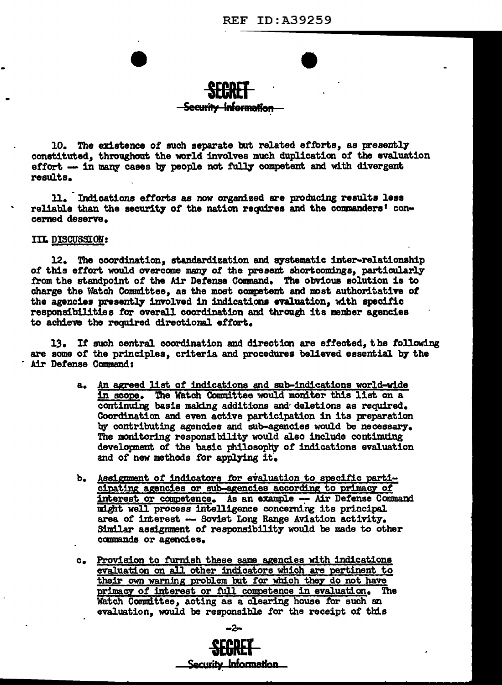## <del>Security Information</del>

10. The existence of such separate but related efforts, as presently constituted, throughout the world involves much duplication of the evaluation effort -- in many cases by people not fully competent and with divergent results.

11. Indications efforts as now organized are producing results less reliable than the security of the nation requires and the commanders' concerned deserve.

## IIL DISCUSSION:

12. The coordination, standardization and systematic inter-relationship of this effort would overcome many of the present shortcomings, particularly from the standpoint of the Air Defense Command. The obvious solution is to charge the Watch Committee, as the most competent and most authoritative of the agencies presently involved in indications evaluation, with specific responsibilities for overall coordination and through its member agencies to achieve the required directional effort.

13. If such central coordination and direction are effected, the following are some of the principles, criteria and procedures believed essential by the Air Defense Command:

- a. An agreed list of indications and sub-indications world-wide in scope. The Watch Committee would monitor this list on a continuing basis making additions and deletions as required. Coordination and even active participation in its preparation by contributing agencies and sub-agencies would be necessary. The monitoring responsibility would also include continuing development of the basic philosophy of indications evaluation and of new methods for applying it.
- b. Assignment of indicators for evaluation to specific participating agencies or sub-agencies according to primacy of interest or competence. As an example -- Air Defense Command might well process intelligence concerning its principal area of interest -- Soviet Long Range Aviation activity. Similar assignment of responsibility would be made to other commands or agencies.
- c. Provision to furnish these same agencies with indications evaluation on all other indicators which are pertinent to their own warning problem but for which they do not have primacy of interest or full competence in evaluation. The Watch Committee, acting as a clearing house for such an evaluation, would be responsible for the receipt of this

Security Information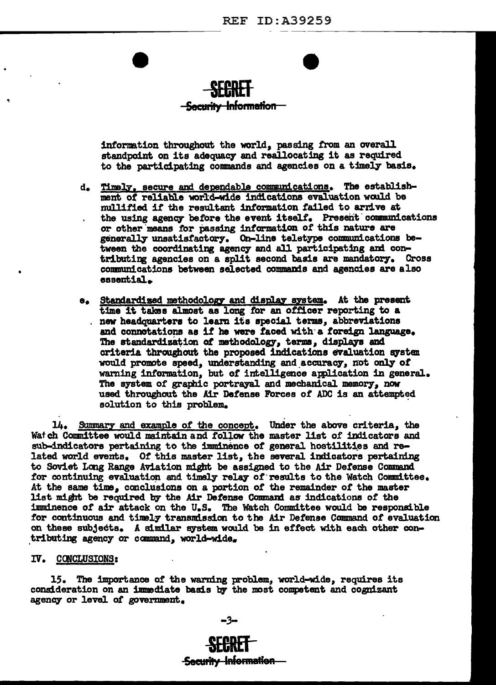

## <del>- Security Information -</del>

information throughout the world, passing from an overall standpoint on its adequacy and reallocating it as required to the participating commands and agencies on a timely basis.

- d. Timely, secure and dependable communications. The establishment of reliable world-wide indications evaluation would be mullified if the resultant information failed to arrive at the using agency before the event itself. Present communications or other means for passing information of this nature are generally unsatisfactory. On-line teletype communications between the coordinating agency and all participating and contributing agencies on a split second basis are mandatory. Cross communications between selected commands and agencies are also essential.
- e. Standardized methodology and display system. At the present time it takes almost as long for an officer reporting to a . new headquarters to learn its special terms, abbreviations and connotations as if he were faced with a foreign language. The standardization of methodology, terms, displays and criteria throughout the proposed indications evaluation system would promote speed, understanding and accuracy, not only of warning information, but of intelligence application in general. The system of graphic portrayal and mechanical memory, now used throughout the Air Defense Forces of ADC is an attempted solution to this problem.

14. Summary and example of the concept. Under the above criteria, the Watch Committee would maintain and follow the master list of indicators and sub-indicators pertaining to the imminence of general hostilities and related world events. Of this master list, the several indicators pertaining to Soviet Long Range Aviation might be assigned to the Air Defense Command for continuing evaluation and timely relay of results to the Watch Committee. At the same time, conclusions on a portion of the remainder of the master list might be required by the Air Defense Command as indications of the imminence of air attack on the U.S. The Watch Committee would be responsible for continuous and timely transmission to the Air Defense Command of evaluation on these subjects. A similar system would be in effect with each other contributing agency or command, world-wide.

## IV. CONCLUSIONS:

15. The importance of the warning problem, world-wide, requires its consideration on an immediate basis by the most competent and cognizant agency or level of government.

-3-

# **Security Information**